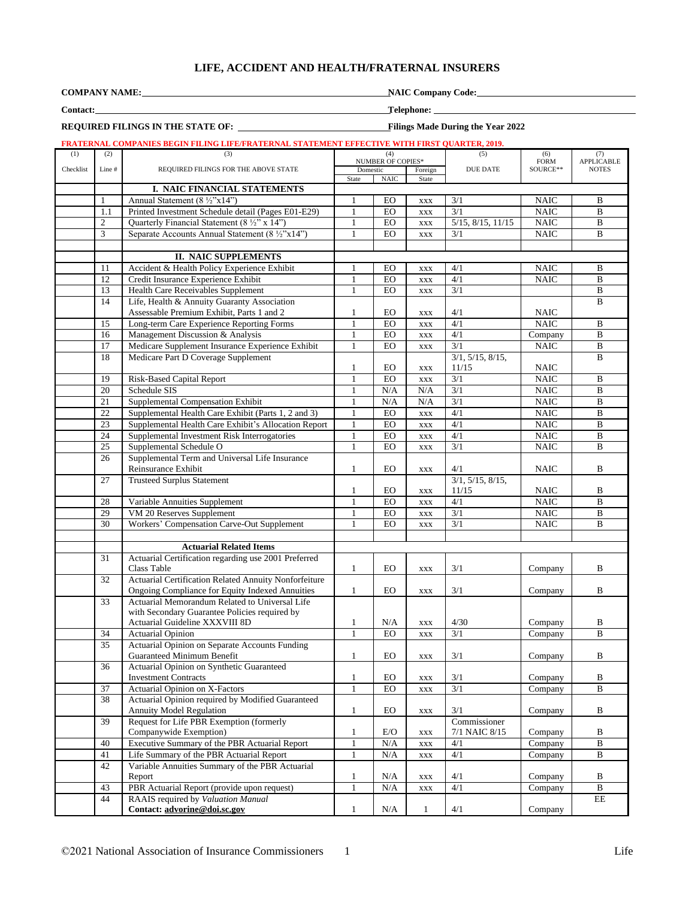## **LIFE, ACCIDENT AND HEALTH/FRATERNAL INSURERS**

**COMPANY NAME:** NAIC Company Code: **NAIC Company Code:** NAIC Company Code:

**REQUIRED FILINGS IN THE STATE OF:****Filings Made During the Year 2022**

**Contact: Telephone:** 

# **FRATERNAL COMPANIES BEGIN FILING LIFE/FRATERNAL STATEMENT EFFECTIVE WITH FIRST QUARTER, 2019.**

|           |                                               | FRATERINAL COMPANIES DEGIN FILING LIFE/FRATERINAL STATEMENT EFFECTIVE WITH FIRST QUARTER, 2019. |                     |                |                    |                           |                            |                         |
|-----------|-----------------------------------------------|-------------------------------------------------------------------------------------------------|---------------------|----------------|--------------------|---------------------------|----------------------------|-------------------------|
| (1)       | (2)<br>(3)<br>(4)<br><b>NUMBER OF COPIES*</b> |                                                                                                 |                     | (5)            | (6)<br><b>FORM</b> | (7)                       |                            |                         |
| Checklist | Line #                                        | REQUIRED FILINGS FOR THE ABOVE STATE                                                            | Domestic<br>Foreign |                | <b>DUE DATE</b>    | SOURCE**                  | APPLICABLE<br><b>NOTES</b> |                         |
|           |                                               |                                                                                                 | State               | <b>NAIC</b>    | State              |                           |                            |                         |
|           |                                               | I. NAIC FINANCIAL STATEMENTS                                                                    |                     |                |                    |                           |                            |                         |
|           | 1                                             | Annual Statement $(8 \frac{1}{2} \times 14)$                                                    | 1                   | EO             |                    | 3/1                       | <b>NAIC</b>                | B                       |
|           |                                               |                                                                                                 |                     |                | XXX                |                           |                            | $\overline{B}$          |
|           | 1.1                                           | Printed Investment Schedule detail (Pages E01-E29)                                              | $\mathbf{1}$        | <b>EO</b>      | <b>XXX</b>         | 3/1                       | <b>NAIC</b>                |                         |
|           | $\overline{c}$                                | Quarterly Financial Statement (8 1/2" x 14")                                                    | $\mathbf{1}$        | ${\rm EO}$     | $\mathbf{XXX}$     | $5/15$ , $8/15$ , $11/15$ | <b>NAIC</b>                | $\bf{B}$                |
|           | 3                                             | Separate Accounts Annual Statement (8 ½"x14")                                                   | 1                   | EO             | $\mathbf{XXX}$     | 3/1                       | <b>NAIC</b>                | B                       |
|           |                                               |                                                                                                 |                     |                |                    |                           |                            |                         |
|           |                                               | <b>II. NAIC SUPPLEMENTS</b>                                                                     |                     |                |                    |                           |                            |                         |
|           | 11                                            | Accident & Health Policy Experience Exhibit                                                     | 1                   | EO             | $\mathbf{XXX}$     | 4/1                       | <b>NAIC</b>                | B                       |
|           | 12                                            | Credit Insurance Experience Exhibit                                                             | $\mathbf{1}$        | EO             | <b>XXX</b>         | 4/1                       | <b>NAIC</b>                | $\overline{B}$          |
|           | 13                                            | <b>Health Care Receivables Supplement</b>                                                       | $\mathbf{1}$        | EO             | $\mathbf{XXX}$     | 3/1                       |                            | $\bf{B}$                |
|           | 14                                            | Life, Health & Annuity Guaranty Association                                                     |                     |                |                    |                           |                            | B                       |
|           |                                               | Assessable Premium Exhibit, Parts 1 and 2                                                       | $\mathbf{1}$        | EO             | XXX                | 4/1                       | NAIC                       |                         |
|           | 15                                            | Long-term Care Experience Reporting Forms                                                       | $\mathbf{1}$        | EO             | $\mathbf{XXX}$     | 4/1                       | <b>NAIC</b>                | B                       |
|           | 16                                            | Management Discussion & Analysis                                                                | $\mathbf{1}$        | ${\rm EO}$     |                    | 4/1                       | Company                    | $\overline{B}$          |
|           | 17                                            |                                                                                                 | $\mathbf{1}$        | <b>EO</b>      | $\mathbf{XXX}$     | $\overline{3/1}$          |                            | $\overline{B}$          |
|           |                                               | Medicare Supplement Insurance Experience Exhibit                                                |                     |                | <b>XXX</b>         |                           | NAIC                       |                         |
|           | 18                                            | Medicare Part D Coverage Supplement                                                             |                     |                |                    | 3/1, 5/15, 8/15,          |                            | B                       |
|           |                                               |                                                                                                 | $\mathbf{1}$        | EO             | $\mathbf{XXX}$     | 11/15                     | NAIC                       |                         |
|           | 19                                            | Risk-Based Capital Report                                                                       | $\mathbf{1}$        | <b>EO</b>      | $\mathbf{XXX}$     | 3/1                       | NAIC                       | $\bf{B}$                |
|           | 20                                            | Schedule SIS                                                                                    | 1                   | N/A            | N/A                | 3/1                       | <b>NAIC</b>                | B                       |
|           | 21                                            | Supplemental Compensation Exhibit                                                               | 1                   | N/A            | N/A                | 3/1                       | <b>NAIC</b>                | B                       |
|           | $22\,$                                        | Supplemental Health Care Exhibit (Parts 1, 2 and 3)                                             | $\mathbf{1}$        | ${\rm EO}$     | $\mathbf{XXX}$     | 4/1                       | <b>NAIC</b>                | B                       |
|           | 23                                            | Supplemental Health Care Exhibit's Allocation Report                                            | $\mathbf{1}$        | <b>EO</b>      | <b>XXX</b>         | 4/1                       | NAIC                       | $\overline{B}$          |
|           | 24                                            | Supplemental Investment Risk Interrogatories                                                    | $\mathbf{1}$        | EO             | <b>XXX</b>         | 4/1                       | <b>NAIC</b>                | $\overline{B}$          |
|           | 25                                            | Supplemental Schedule O                                                                         | $\mathbf{1}$        | EO             | <b>XXX</b>         | 3/1                       | <b>NAIC</b>                | $\overline{B}$          |
|           | 26                                            | Supplemental Term and Universal Life Insurance                                                  |                     |                |                    |                           |                            |                         |
|           |                                               | Reinsurance Exhibit                                                                             | $\mathbf{1}$        | EO.            | XXX                | 4/1                       | <b>NAIC</b>                | B                       |
|           | 27                                            | <b>Trusteed Surplus Statement</b>                                                               |                     |                |                    | 3/1, 5/15, 8/15,          |                            |                         |
|           |                                               |                                                                                                 | $\mathbf{1}$        | EO.            | XXX                | 11/15                     | NAIC                       | B                       |
|           | $28\,$                                        |                                                                                                 | $\mathbf{1}$        | ${\rm EO}$     |                    | 4/1                       | <b>NAIC</b>                | B                       |
|           | $\overline{29}$                               | Variable Annuities Supplement                                                                   |                     | E <sub>O</sub> | XXX                |                           |                            |                         |
|           |                                               | VM 20 Reserves Supplement                                                                       | 1                   |                | <b>XXX</b>         | 3/1                       | NAIC                       | $\overline{\mathbf{B}}$ |
|           | 30                                            | Workers' Compensation Carve-Out Supplement                                                      | 1                   | EO             | <b>XXX</b>         | 3/1                       | <b>NAIC</b>                | B                       |
|           |                                               |                                                                                                 |                     |                |                    |                           |                            |                         |
|           |                                               | <b>Actuarial Related Items</b>                                                                  |                     |                |                    |                           |                            |                         |
|           | 31                                            | Actuarial Certification regarding use 2001 Preferred                                            |                     |                |                    |                           |                            |                         |
|           |                                               | Class Table                                                                                     | $\mathbf{1}$        | EO             | <b>XXX</b>         | 3/1                       | Company                    | B                       |
|           | 32                                            | Actuarial Certification Related Annuity Nonforfeiture                                           |                     |                |                    |                           |                            |                         |
|           |                                               | Ongoing Compliance for Equity Indexed Annuities                                                 | $\mathbf{1}$        | EO.            | <b>XXX</b>         | 3/1                       | Company                    | B                       |
|           | 33                                            | Actuarial Memorandum Related to Universal Life                                                  |                     |                |                    |                           |                            |                         |
|           |                                               | with Secondary Guarantee Policies required by                                                   |                     |                |                    |                           |                            |                         |
|           |                                               | Actuarial Guideline XXXVIII 8D                                                                  | 1                   | N/A            | $\mathbf{XXX}$     | 4/30                      | Company                    | B                       |
|           | 34                                            | <b>Actuarial Opinion</b>                                                                        | $\mathbf{1}$        | EO             | <b>XXX</b>         | 3/1                       | Company                    | B                       |
|           | 35                                            | Actuarial Opinion on Separate Accounts Funding                                                  |                     |                |                    |                           |                            |                         |
|           |                                               | Guaranteed Minimum Benefit                                                                      | $\mathbf{I}$        | ${\rm EO}$     | XXX                | 3/1                       | Company                    | В                       |
|           | 36                                            | Actuarial Opinion on Synthetic Guaranteed                                                       |                     |                |                    |                           |                            |                         |
|           |                                               | <b>Investment Contracts</b>                                                                     | $\mathbf{1}$        | EO             | <b>XXX</b>         | 3/1                       | Company                    | $\, {\bf B}$            |
|           | 37                                            | Actuarial Opinion on X-Factors                                                                  | $\mathbf{1}$        | EO             | <b>XXX</b>         | 3/1                       | Company                    | B                       |
|           | 38                                            | Actuarial Opinion required by Modified Guaranteed                                               |                     |                |                    |                           |                            |                         |
|           |                                               | Annuity Model Regulation                                                                        | $\mathbf{1}$        | EO             | $\mathbf{XXX}$     | 3/1                       | Company                    | $\, {\bf B}$            |
|           | 39                                            | Request for Life PBR Exemption (formerly                                                        |                     |                |                    | Commissioner              |                            |                         |
|           |                                               | Companywide Exemption)                                                                          | $\mathbf{1}$        | E/O            | $\mathbf{XXX}$     | 7/1 NAIC 8/15             | Company                    | В                       |
|           | 40                                            | Executive Summary of the PBR Actuarial Report                                                   | $\mathbf{1}$        | N/A            |                    | 4/1                       | Company                    | $\, {\bf B}$            |
|           |                                               |                                                                                                 |                     |                | $\mathbf{XXX}$     |                           |                            |                         |
|           | 41                                            | Life Summary of the PBR Actuarial Report                                                        | $\mathbf{1}$        | $\rm N/A$      | <b>XXX</b>         | 4/1                       | Company                    | $\overline{B}$          |
|           | 42                                            | Variable Annuities Summary of the PBR Actuarial                                                 |                     |                |                    |                           |                            |                         |
|           |                                               | Report                                                                                          | $\mathbf{1}$        | N/A            | <b>XXX</b>         | 4/1                       | Company                    | $\, {\bf B}$            |
|           | 43                                            | PBR Actuarial Report (provide upon request)                                                     | $\mathbf{1}$        | $\rm N/A$      | $\mathbf{XXX}$     | 4/1                       | Company                    | $\, {\bf B}$            |
|           | 44                                            | RAAIS required by Valuation Manual                                                              |                     |                |                    |                           |                            | $\overline{\text{EE}}$  |
|           |                                               | Contact: advorine@doi.sc.gov                                                                    | $\mathbf{1}$        | N/A            | $\mathbf{1}$       | $4/1\,$                   | Company                    |                         |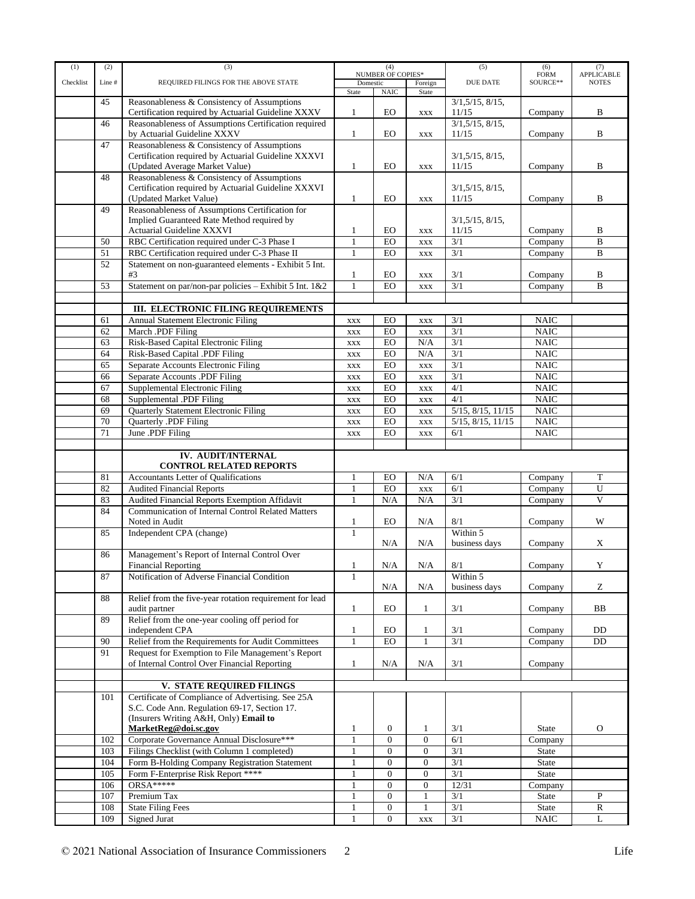| (1)       | (2)                                                        | (3)                                                      | (4)                      |                  | (5)              | (6)                 | (7)          |                         |
|-----------|------------------------------------------------------------|----------------------------------------------------------|--------------------------|------------------|------------------|---------------------|--------------|-------------------------|
|           |                                                            |                                                          | <b>NUMBER OF COPIES*</b> |                  |                  | <b>FORM</b>         | APPLICABLE   |                         |
| Checklist | Line #                                                     | REQUIRED FILINGS FOR THE ABOVE STATE                     | Domestic<br>Foreign      |                  | <b>DUE DATE</b>  | SOURCE**            | <b>NOTES</b> |                         |
|           | 45                                                         |                                                          | State                    | <b>NAIC</b>      | State            |                     |              |                         |
|           |                                                            | Reasonableness & Consistency of Assumptions              |                          |                  |                  | 3/1, 5/15, 8/15,    |              |                         |
|           |                                                            | Certification required by Actuarial Guideline XXXV       | 1                        | EO               | <b>XXX</b>       | 11/15               | Company      | B                       |
|           | Reasonableness of Assumptions Certification required<br>46 |                                                          |                          |                  |                  | 3/1, 5/15, 8/15,    |              |                         |
|           |                                                            | by Actuarial Guideline XXXV                              | $\mathbf{1}$             | EO               | <b>XXX</b>       | 11/15               | Company      | B                       |
|           | 47                                                         | Reasonableness & Consistency of Assumptions              |                          |                  |                  |                     |              |                         |
|           |                                                            | Certification required by Actuarial Guideline XXXVI      |                          |                  |                  | 3/1, 5/15, 8/15,    |              |                         |
|           |                                                            | (Updated Average Market Value)                           | 1                        | EO               | $\mathbf{XXX}$   | 11/15               | Company      | B                       |
|           | 48                                                         | Reasonableness & Consistency of Assumptions              |                          |                  |                  |                     |              |                         |
|           |                                                            | Certification required by Actuarial Guideline XXXVI      |                          |                  |                  | $3/1, 5/15, 8/15$ , |              |                         |
|           |                                                            | (Updated Market Value)                                   | 1                        | EO               | <b>XXX</b>       | 11/15               | Company      | B                       |
|           | 49                                                         | Reasonableness of Assumptions Certification for          |                          |                  |                  |                     |              |                         |
|           |                                                            | Implied Guaranteed Rate Method required by               |                          |                  |                  | 3/1, 5/15, 8/15,    |              |                         |
|           |                                                            | Actuarial Guideline XXXVI                                | 1                        | EO               | <b>XXX</b>       | 11/15               | Company      | B                       |
|           | 50                                                         | RBC Certification required under C-3 Phase I             | $\mathbf{1}$             | EO               | $\mathbf{XXX}$   | 3/1                 | Company      | $\overline{B}$          |
|           | 51                                                         | RBC Certification required under C-3 Phase II            | 1                        | EO               | <b>XXX</b>       | 3/1                 | Company      | B                       |
|           | 52                                                         | Statement on non-guaranteed elements - Exhibit 5 Int.    |                          |                  |                  |                     |              |                         |
|           |                                                            | #3                                                       | $\mathbf{1}$             | EO               |                  | 3/1                 | Company      | B                       |
|           |                                                            |                                                          |                          |                  | XXX              |                     |              |                         |
|           | 53                                                         | Statement on par/non-par policies - Exhibit 5 Int. 1&2   | $\mathbf{1}$             | EO               | $\mathbf{XXX}$   | 3/1                 | Company      | B                       |
|           |                                                            |                                                          |                          |                  |                  |                     |              |                         |
|           |                                                            | III. ELECTRONIC FILING REQUIREMENTS                      |                          |                  |                  |                     |              |                         |
|           | 61                                                         | <b>Annual Statement Electronic Filing</b>                | <b>XXX</b>               | EO               | $\mathbf{XXX}$   | 3/1                 | <b>NAIC</b>  |                         |
|           | 62                                                         | March .PDF Filing                                        | <b>XXX</b>               | EO               | <b>XXX</b>       | 3/1                 | <b>NAIC</b>  |                         |
|           | 63                                                         | Risk-Based Capital Electronic Filing                     | $\mathbf{XXX}$           | EO               | N/A              | 3/1                 | <b>NAIC</b>  |                         |
|           | 64                                                         | Risk-Based Capital .PDF Filing                           | <b>XXX</b>               | <b>EO</b>        | $\rm N/A$        | 3/1                 | $\rm NAIC$   |                         |
|           | 65                                                         | Separate Accounts Electronic Filing                      | <b>XXX</b>               | EO               | <b>XXX</b>       | $\overline{3/1}$    | NAIC         |                         |
|           | 66                                                         | Separate Accounts .PDF Filing                            |                          | EO               |                  | 3/1                 | $\rm NAIC$   |                         |
|           |                                                            |                                                          | $\mathbf{XXX}$           | E <sub>O</sub>   | $\mathbf{XXX}$   | 4/1                 |              |                         |
|           | 67                                                         | Supplemental Electronic Filing                           | $\mathbf{XXX}$           |                  | <b>XXX</b>       |                     | NAIC         |                         |
|           | 68                                                         | Supplemental .PDF Filing                                 | $\mathbf{XXX}$           | EO               | <b>XXX</b>       | $\overline{4/1}$    | <b>NAIC</b>  |                         |
|           | 69                                                         | Quarterly Statement Electronic Filing                    | $\mathbf{XXX}$           | <b>EO</b>        | $\mathbf{XXX}$   | 5/15, 8/15, 11/15   | <b>NAIC</b>  |                         |
|           | 70                                                         | Quarterly .PDF Filing                                    | <b>XXX</b>               | <b>EO</b>        | <b>XXX</b>       | 5/15, 8/15, 11/15   | NAIC         |                         |
|           | 71                                                         | June .PDF Filing                                         | <b>XXX</b>               | EO               | <b>XXX</b>       | 6/1                 | <b>NAIC</b>  |                         |
|           |                                                            |                                                          |                          |                  |                  |                     |              |                         |
|           |                                                            | IV. AUDIT/INTERNAL                                       |                          |                  |                  |                     |              |                         |
|           |                                                            | <b>CONTROL RELATED REPORTS</b>                           |                          |                  |                  |                     |              |                         |
|           | 81                                                         | Accountants Letter of Qualifications                     | 1                        | EO               | N/A              | 6/1                 | Company      | $\mathbf T$             |
|           | 82                                                         | <b>Audited Financial Reports</b>                         | $\mathbf{1}$             | EO               | XXX              | 6/1                 | Company      | $\overline{U}$          |
|           | 83                                                         |                                                          | $\mathbf{1}$             | N/A              |                  | 3/1                 |              | $\overline{\mathbf{V}}$ |
|           |                                                            | Audited Financial Reports Exemption Affidavit            |                          |                  | N/A              |                     | Company      |                         |
|           | 84                                                         | <b>Communication of Internal Control Related Matters</b> |                          |                  |                  |                     |              |                         |
|           |                                                            | Noted in Audit                                           | $\mathbf{1}$             | EO               | N/A              | 8/1                 | Company      | W                       |
|           | 85                                                         | Independent CPA (change)                                 | $\mathbf{1}$             |                  |                  | Within 5            |              |                         |
|           |                                                            |                                                          |                          | N/A              | N/A              | business days       | Company      | X                       |
|           | 86                                                         | Management's Report of Internal Control Over             |                          |                  |                  |                     |              |                         |
|           |                                                            | <b>Financial Reporting</b>                               | 1                        | N/A              | N/A              | 8/1                 | Company      | Y                       |
|           | 87                                                         | Notification of Adverse Financial Condition              | $\mathbf{1}$             |                  |                  | Within 5            |              |                         |
|           |                                                            |                                                          |                          | N/A              | N/A              | business days       | Company      | Ζ                       |
|           | 88                                                         | Relief from the five-year rotation requirement for lead  |                          |                  |                  |                     |              |                         |
|           |                                                            | audit partner                                            | $\mathbf{1}$             | EO               | $\mathbf{1}$     | 3/1                 | Company      | BB                      |
|           | 89                                                         | Relief from the one-year cooling off period for          |                          |                  |                  |                     |              |                         |
|           |                                                            | independent CPA                                          | $\mathbf{1}$             | EO               | 1                | 3/1                 | Company      | DD                      |
|           | 90                                                         | Relief from the Requirements for Audit Committees        | $\mathbf{1}$             | <b>EO</b>        | $\mathbf{1}$     | 3/1                 | Company      | DD                      |
|           | 91                                                         | Request for Exemption to File Management's Report        |                          |                  |                  |                     |              |                         |
|           |                                                            |                                                          |                          |                  |                  |                     |              |                         |
|           |                                                            | of Internal Control Over Financial Reporting             | 1                        | N/A              | N/A              | 3/1                 | Company      |                         |
|           |                                                            |                                                          |                          |                  |                  |                     |              |                         |
|           |                                                            | <b>V. STATE REQUIRED FILINGS</b>                         |                          |                  |                  |                     |              |                         |
|           | 101                                                        | Certificate of Compliance of Advertising. See 25A        |                          |                  |                  |                     |              |                         |
|           |                                                            | S.C. Code Ann. Regulation 69-17, Section 17.             |                          |                  |                  |                     |              |                         |
|           |                                                            | (Insurers Writing A&H, Only) Email to                    |                          |                  |                  |                     |              |                         |
|           |                                                            | MarketReg@doi.sc.gov                                     | 1                        | $\boldsymbol{0}$ | $\mathbf{1}$     | 3/1                 | State        | 0                       |
|           | 102                                                        | Corporate Governance Annual Disclosure***                | $\mathbf{1}$             | $\overline{0}$   | $\overline{0}$   | 6/1                 | Company      |                         |
|           | 103                                                        | Filings Checklist (with Column 1 completed)              | $\mathbf{1}$             | $\boldsymbol{0}$ | $\boldsymbol{0}$ | 3/1                 | State        |                         |
|           | 104                                                        | Form B-Holding Company Registration Statement            | $\mathbf{1}$             | $\mathbf{0}$     | $\boldsymbol{0}$ | 3/1                 | State        |                         |
|           | 105                                                        | Form F-Enterprise Risk Report ****                       | $\mathbf{1}$             | $\overline{0}$   | $\boldsymbol{0}$ | 3/1                 | State        |                         |
|           | 106                                                        | <b>ORSA*****</b>                                         | $\mathbf{1}$             | $\mathbf{0}$     | $\boldsymbol{0}$ | 12/31               | Company      |                         |
|           |                                                            |                                                          |                          |                  |                  |                     |              |                         |
|           | 107                                                        | Premium Tax                                              | 1                        | $\mathbf{0}$     | 1                | 3/1                 | State        | P                       |
|           | 108                                                        | <b>State Filing Fees</b>                                 | $\mathbf{1}$             | $\boldsymbol{0}$ | $\mathbf{1}$     | 3/1                 | <b>State</b> | $\mathbb{R}$            |
|           | 109                                                        | Signed Jurat                                             | $\mathbf{1}$             | $\overline{0}$   | <b>XXX</b>       | 3/1                 | <b>NAIC</b>  | L                       |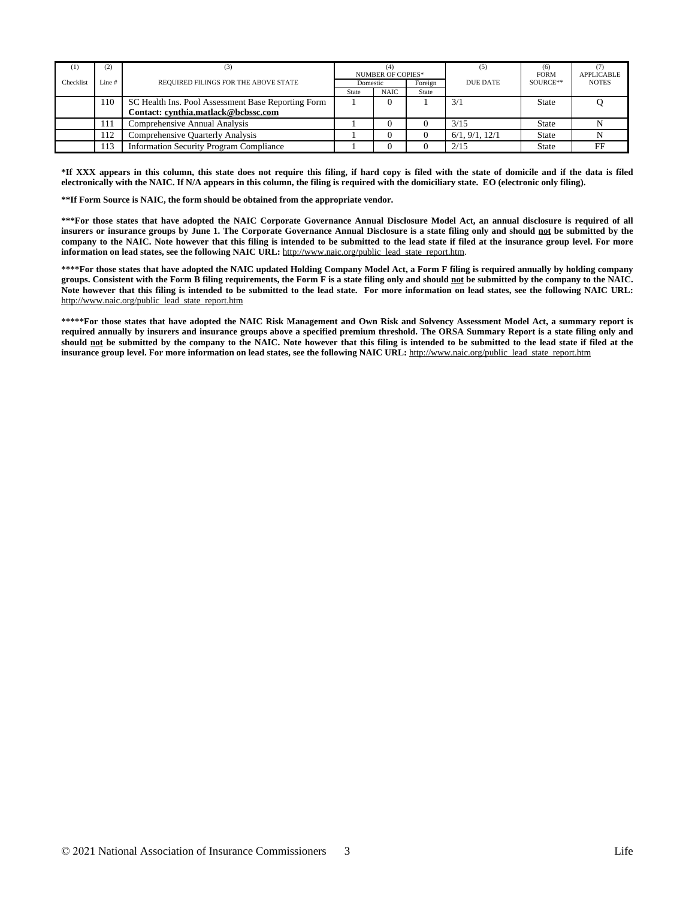| $^{(1)}$  | (2)   | (3)                                                | (4<br><b>NUMBER OF COPIES*</b><br>Foreign<br>Domestic |             | (5)                         | (6)<br><b>FORM</b> | <b>APPLICABLE</b> |  |
|-----------|-------|----------------------------------------------------|-------------------------------------------------------|-------------|-----------------------------|--------------------|-------------------|--|
| Checklist | Line# | REQUIRED FILINGS FOR THE ABOVE STATE               |                                                       |             | SOURCE**<br><b>DUE DATE</b> |                    | <b>NOTES</b>      |  |
|           |       |                                                    | <b>State</b>                                          | <b>NAIC</b> | State                       |                    |                   |  |
|           | 110   | SC Health Ins. Pool Assessment Base Reporting Form |                                                       |             |                             | 3/1                | State             |  |
|           |       | Contact: cynthia.matlack@bcbssc.com                |                                                       |             |                             |                    |                   |  |
|           | 111   | <b>Comprehensive Annual Analysis</b>               |                                                       |             |                             | 3/15               | <b>State</b>      |  |
|           | 112   | Comprehensive Quarterly Analysis                   |                                                       |             |                             | 6/1, 9/1, 12/1     | <b>State</b>      |  |
|           | 113   | <b>Information Security Program Compliance</b>     |                                                       |             |                             | 2/15               | <b>State</b>      |  |

\*If XXX appears in this column, this state does not require this filing, if hard copy is filed with the state of domicile and if the data is filed **electronically with the NAIC. If N/A appears in this column, the filing is required with the domiciliary state. EO (electronic only filing).**

**\*\*If Form Source is NAIC, the form should be obtained from the appropriate vendor.**

\*\*\*For those states that have adopted the NAIC Corporate Governance Annual Disclosure Model Act, an annual disclosure is required of all insurers or insurance groups by June 1. The Corporate Governance Annual Disclosure is a state filing only and should not be submitted by the company to the NAIC. Note however that this filing is intended to be submitted to the lead state if filed at the insurance group level. For more **information on lead states, see the following NAIC URL:** [http://www.naic.org/public\\_lead\\_state\\_report.htm](http://www.naic.org/public_lead_state_report.htm).

\*\*\*\*For those states that have adopted the NAIC updated Holding Company Model Act, a Form F filing is required annually by holding company groups. Consistent with the Form B filing requirements, the Form F is a state filing only and should not be submitted by the company to the NAIC. Note however that this filing is intended to be submitted to the lead state. For more information on lead states, see the following NAIC URL: [http://www.naic.org/public\\_lead\\_state\\_report.htm](http://www.naic.org/public_lead_state_report.htm)

\*\*\*\*\*For those states that have adopted the NAIC Risk Management and Own Risk and Solvency Assessment Model Act, a summary report is required annually by insurers and insurance groups above a specified premium threshold. The ORSA Summary Report is a state filing only and should not be submitted by the company to the NAIC. Note however that this filing is intended to be submitted to the lead state if filed at the **insurance group level. For more information on lead states, see the following NAIC URL:** [http://www.naic.org/public\\_lead\\_state\\_report.htm](http://www.naic.org/public_lead_state_report.htm)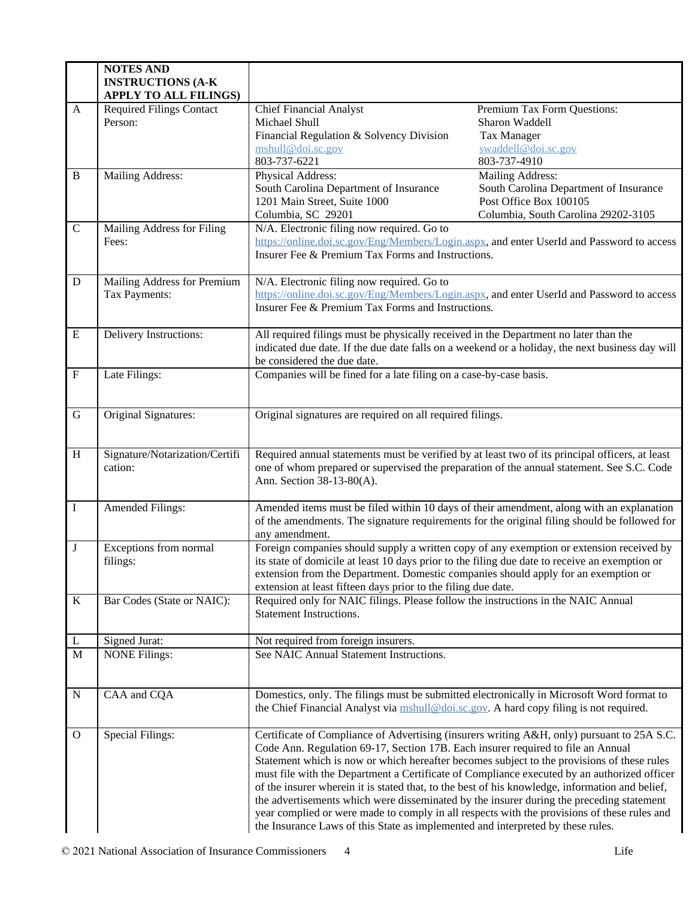|                | <b>NOTES AND</b><br><b>INSTRUCTIONS (A-K)</b><br><b>APPLY TO ALL FILINGS)</b> |                                                                                                                                                                                                                                                                                                                                                                                                                                                                                                                                                                                                                                                                                                                                                              |                                                                                                                             |  |
|----------------|-------------------------------------------------------------------------------|--------------------------------------------------------------------------------------------------------------------------------------------------------------------------------------------------------------------------------------------------------------------------------------------------------------------------------------------------------------------------------------------------------------------------------------------------------------------------------------------------------------------------------------------------------------------------------------------------------------------------------------------------------------------------------------------------------------------------------------------------------------|-----------------------------------------------------------------------------------------------------------------------------|--|
| A              | <b>Required Filings Contact</b><br>Person:                                    | <b>Chief Financial Analyst</b><br>Michael Shull<br>Financial Regulation & Solvency Division<br>mshull@doi.sc.gov<br>803-737-6221                                                                                                                                                                                                                                                                                                                                                                                                                                                                                                                                                                                                                             | Premium Tax Form Questions:<br>Sharon Waddell<br><b>Tax Manager</b><br>swaddell@doi.sc.gov<br>803-737-4910                  |  |
| $\, {\bf B}$   | Mailing Address:                                                              | Physical Address:<br>South Carolina Department of Insurance<br>1201 Main Street, Suite 1000<br>Columbia, SC 29201                                                                                                                                                                                                                                                                                                                                                                                                                                                                                                                                                                                                                                            | Mailing Address:<br>South Carolina Department of Insurance<br>Post Office Box 100105<br>Columbia, South Carolina 29202-3105 |  |
| $\mathbf C$    | Mailing Address for Filing<br>Fees:                                           | N/A. Electronic filing now required. Go to<br>https://online.doi.sc.gov/Eng/Members/Login.aspx, and enter UserId and Password to access<br>Insurer Fee & Premium Tax Forms and Instructions.                                                                                                                                                                                                                                                                                                                                                                                                                                                                                                                                                                 |                                                                                                                             |  |
| D              | Mailing Address for Premium<br>Tax Payments:                                  | N/A. Electronic filing now required. Go to<br>https://online.doi.sc.gov/Eng/Members/Login.aspx, and enter UserId and Password to access<br>Insurer Fee & Premium Tax Forms and Instructions.                                                                                                                                                                                                                                                                                                                                                                                                                                                                                                                                                                 |                                                                                                                             |  |
| ${\bf E}$      | <b>Delivery Instructions:</b>                                                 | All required filings must be physically received in the Department no later than the<br>indicated due date. If the due date falls on a weekend or a holiday, the next business day will<br>be considered the due date.                                                                                                                                                                                                                                                                                                                                                                                                                                                                                                                                       |                                                                                                                             |  |
| $\mathbf F$    | Late Filings:                                                                 | Companies will be fined for a late filing on a case-by-case basis.                                                                                                                                                                                                                                                                                                                                                                                                                                                                                                                                                                                                                                                                                           |                                                                                                                             |  |
| ${\bf G}$      | Original Signatures:                                                          | Original signatures are required on all required filings.                                                                                                                                                                                                                                                                                                                                                                                                                                                                                                                                                                                                                                                                                                    |                                                                                                                             |  |
| $\, {\rm H}$   | Signature/Notarization/Certifi<br>cation:                                     | Required annual statements must be verified by at least two of its principal officers, at least<br>one of whom prepared or supervised the preparation of the annual statement. See S.C. Code<br>Ann. Section 38-13-80(A).                                                                                                                                                                                                                                                                                                                                                                                                                                                                                                                                    |                                                                                                                             |  |
| $\bf I$        | Amended Filings:                                                              | Amended items must be filed within 10 days of their amendment, along with an explanation<br>of the amendments. The signature requirements for the original filing should be followed for<br>any amendment.                                                                                                                                                                                                                                                                                                                                                                                                                                                                                                                                                   |                                                                                                                             |  |
| $\bf J$        | Exceptions from normal<br>filings:                                            | Foreign companies should supply a written copy of any exemption or extension received by<br>its state of domicile at least 10 days prior to the filing due date to receive an exemption or<br>extension from the Department. Domestic companies should apply for an exemption or<br>extension at least fifteen days prior to the filing due date.                                                                                                                                                                                                                                                                                                                                                                                                            |                                                                                                                             |  |
| $\rm K$        | Bar Codes (State or NAIC):                                                    | Required only for NAIC filings. Please follow the instructions in the NAIC Annual<br><b>Statement Instructions.</b>                                                                                                                                                                                                                                                                                                                                                                                                                                                                                                                                                                                                                                          |                                                                                                                             |  |
| L              | <b>Signed Jurat:</b>                                                          | Not required from foreign insurers.                                                                                                                                                                                                                                                                                                                                                                                                                                                                                                                                                                                                                                                                                                                          |                                                                                                                             |  |
| $\overline{M}$ | <b>NONE Filings:</b>                                                          | See NAIC Annual Statement Instructions.                                                                                                                                                                                                                                                                                                                                                                                                                                                                                                                                                                                                                                                                                                                      |                                                                                                                             |  |
| ${\bf N}$      | CAA and CQA                                                                   | Domestics, only. The filings must be submitted electronically in Microsoft Word format to<br>the Chief Financial Analyst via mshull@doi.sc.gov. A hard copy filing is not required.                                                                                                                                                                                                                                                                                                                                                                                                                                                                                                                                                                          |                                                                                                                             |  |
| $\mathbf{O}$   | <b>Special Filings:</b>                                                       | Certificate of Compliance of Advertising (insurers writing A&H, only) pursuant to 25A S.C.<br>Code Ann. Regulation 69-17, Section 17B. Each insurer required to file an Annual<br>Statement which is now or which hereafter becomes subject to the provisions of these rules<br>must file with the Department a Certificate of Compliance executed by an authorized officer<br>of the insurer wherein it is stated that, to the best of his knowledge, information and belief,<br>the advertisements which were disseminated by the insurer during the preceding statement<br>year complied or were made to comply in all respects with the provisions of these rules and<br>the Insurance Laws of this State as implemented and interpreted by these rules. |                                                                                                                             |  |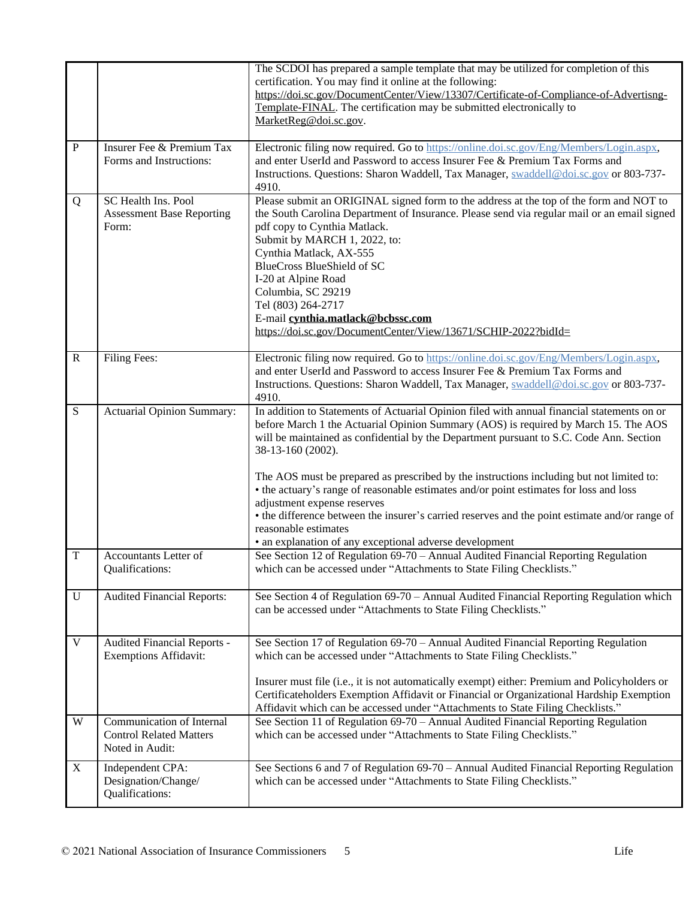|                |                                                                                | The SCDOI has prepared a sample template that may be utilized for completion of this<br>certification. You may find it online at the following:<br>https://doi.sc.gov/DocumentCenter/View/13307/Certificate-of-Compliance-of-Advertisng-<br>Template-FINAL. The certification may be submitted electronically to<br>MarketReg@doi.sc.gov.                                                                                                                                                                                                                                                                                                                                                                    |
|----------------|--------------------------------------------------------------------------------|--------------------------------------------------------------------------------------------------------------------------------------------------------------------------------------------------------------------------------------------------------------------------------------------------------------------------------------------------------------------------------------------------------------------------------------------------------------------------------------------------------------------------------------------------------------------------------------------------------------------------------------------------------------------------------------------------------------|
| $\mathbf P$    | Insurer Fee & Premium Tax<br>Forms and Instructions:                           | Electronic filing now required. Go to https://online.doi.sc.gov/Eng/Members/Login.aspx,<br>and enter UserId and Password to access Insurer Fee & Premium Tax Forms and<br>Instructions. Questions: Sharon Waddell, Tax Manager, swaddell@doi.sc.gov or 803-737-<br>4910.                                                                                                                                                                                                                                                                                                                                                                                                                                     |
| Q              | SC Health Ins. Pool<br><b>Assessment Base Reporting</b><br>Form:               | Please submit an ORIGINAL signed form to the address at the top of the form and NOT to<br>the South Carolina Department of Insurance. Please send via regular mail or an email signed<br>pdf copy to Cynthia Matlack.<br>Submit by MARCH 1, 2022, to:<br>Cynthia Matlack, AX-555<br><b>BlueCross BlueShield of SC</b><br>I-20 at Alpine Road<br>Columbia, SC 29219<br>Tel (803) 264-2717<br>E-mail cynthia.matlack@bcbssc.com<br>https://doi.sc.gov/DocumentCenter/View/13671/SCHIP-2022?bidId=                                                                                                                                                                                                              |
| ${\bf R}$      | Filing Fees:                                                                   | Electronic filing now required. Go to https://online.doi.sc.gov/Eng/Members/Login.aspx,<br>and enter UserId and Password to access Insurer Fee & Premium Tax Forms and<br>Instructions. Questions: Sharon Waddell, Tax Manager, swaddell@doi.sc.gov or 803-737-<br>4910.                                                                                                                                                                                                                                                                                                                                                                                                                                     |
| $\overline{S}$ | <b>Actuarial Opinion Summary:</b>                                              | In addition to Statements of Actuarial Opinion filed with annual financial statements on or<br>before March 1 the Actuarial Opinion Summary (AOS) is required by March 15. The AOS<br>will be maintained as confidential by the Department pursuant to S.C. Code Ann. Section<br>38-13-160 (2002).<br>The AOS must be prepared as prescribed by the instructions including but not limited to:<br>• the actuary's range of reasonable estimates and/or point estimates for loss and loss<br>adjustment expense reserves<br>• the difference between the insurer's carried reserves and the point estimate and/or range of<br>reasonable estimates<br>• an explanation of any exceptional adverse development |
| T              | Accountants Letter of<br>Qualifications:                                       | See Section 12 of Regulation 69-70 - Annual Audited Financial Reporting Regulation<br>which can be accessed under "Attachments to State Filing Checklists."                                                                                                                                                                                                                                                                                                                                                                                                                                                                                                                                                  |
| $\overline{U}$ | <b>Audited Financial Reports:</b>                                              | See Section 4 of Regulation 69-70 - Annual Audited Financial Reporting Regulation which<br>can be accessed under "Attachments to State Filing Checklists."                                                                                                                                                                                                                                                                                                                                                                                                                                                                                                                                                   |
| $\mathbf V$    | Audited Financial Reports -<br><b>Exemptions Affidavit:</b>                    | See Section 17 of Regulation 69-70 - Annual Audited Financial Reporting Regulation<br>which can be accessed under "Attachments to State Filing Checklists."<br>Insurer must file (i.e., it is not automatically exempt) either: Premium and Policyholders or<br>Certificateholders Exemption Affidavit or Financial or Organizational Hardship Exemption<br>Affidavit which can be accessed under "Attachments to State Filing Checklists."                                                                                                                                                                                                                                                                  |
| W              | Communication of Internal<br><b>Control Related Matters</b><br>Noted in Audit: | See Section 11 of Regulation 69-70 - Annual Audited Financial Reporting Regulation<br>which can be accessed under "Attachments to State Filing Checklists."                                                                                                                                                                                                                                                                                                                                                                                                                                                                                                                                                  |
| $\mathbf X$    | Independent CPA:<br>Designation/Change/<br>Qualifications:                     | See Sections 6 and 7 of Regulation 69-70 – Annual Audited Financial Reporting Regulation<br>which can be accessed under "Attachments to State Filing Checklists."                                                                                                                                                                                                                                                                                                                                                                                                                                                                                                                                            |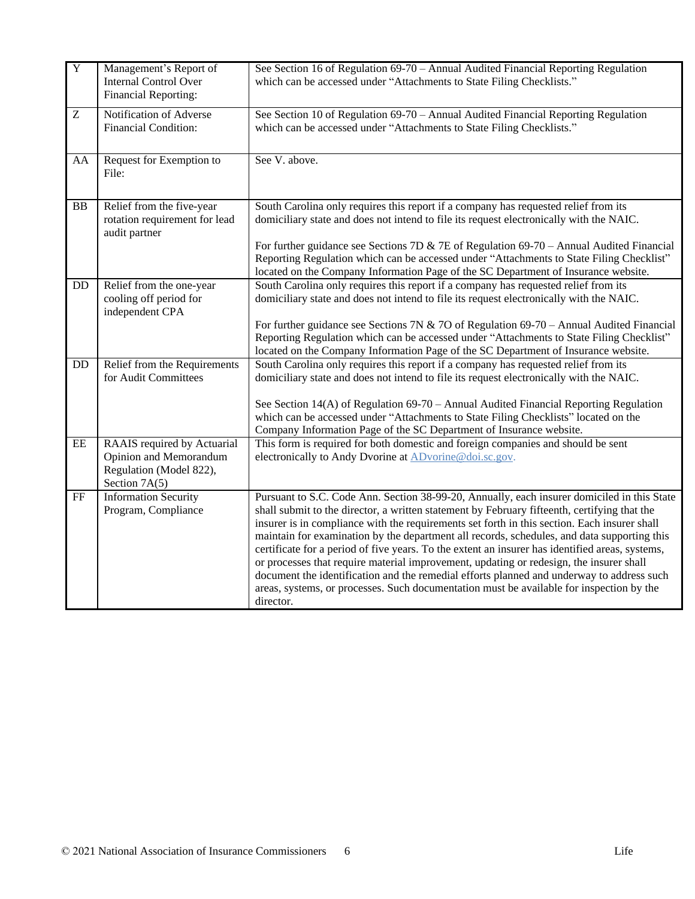| $\overline{Y}$ | Management's Report of<br><b>Internal Control Over</b><br>Financial Reporting:                    | See Section 16 of Regulation 69-70 – Annual Audited Financial Reporting Regulation<br>which can be accessed under "Attachments to State Filing Checklists."                                                                                                                                                                                                                                                                                                                                                                                                                                                                                                                                                                                                                                    |
|----------------|---------------------------------------------------------------------------------------------------|------------------------------------------------------------------------------------------------------------------------------------------------------------------------------------------------------------------------------------------------------------------------------------------------------------------------------------------------------------------------------------------------------------------------------------------------------------------------------------------------------------------------------------------------------------------------------------------------------------------------------------------------------------------------------------------------------------------------------------------------------------------------------------------------|
| Z              | Notification of Adverse<br><b>Financial Condition:</b>                                            | See Section 10 of Regulation 69-70 - Annual Audited Financial Reporting Regulation<br>which can be accessed under "Attachments to State Filing Checklists."                                                                                                                                                                                                                                                                                                                                                                                                                                                                                                                                                                                                                                    |
| AA             | Request for Exemption to<br>File:                                                                 | See V. above.                                                                                                                                                                                                                                                                                                                                                                                                                                                                                                                                                                                                                                                                                                                                                                                  |
| BB             | Relief from the five-year<br>rotation requirement for lead<br>audit partner                       | South Carolina only requires this report if a company has requested relief from its<br>domiciliary state and does not intend to file its request electronically with the NAIC.<br>For further guidance see Sections 7D & 7E of Regulation $69-70$ – Annual Audited Financial<br>Reporting Regulation which can be accessed under "Attachments to State Filing Checklist"<br>located on the Company Information Page of the SC Department of Insurance website.                                                                                                                                                                                                                                                                                                                                 |
| DD             | Relief from the one-year<br>cooling off period for<br>independent CPA                             | South Carolina only requires this report if a company has requested relief from its<br>domiciliary state and does not intend to file its request electronically with the NAIC.<br>For further guidance see Sections 7N & 7O of Regulation $69-70$ – Annual Audited Financial<br>Reporting Regulation which can be accessed under "Attachments to State Filing Checklist"<br>located on the Company Information Page of the SC Department of Insurance website.                                                                                                                                                                                                                                                                                                                                 |
| DD             | Relief from the Requirements<br>for Audit Committees                                              | South Carolina only requires this report if a company has requested relief from its<br>domiciliary state and does not intend to file its request electronically with the NAIC.<br>See Section 14(A) of Regulation 69-70 – Annual Audited Financial Reporting Regulation<br>which can be accessed under "Attachments to State Filing Checklists" located on the<br>Company Information Page of the SC Department of Insurance website.                                                                                                                                                                                                                                                                                                                                                          |
| $\rm{EE}$      | RAAIS required by Actuarial<br>Opinion and Memorandum<br>Regulation (Model 822),<br>Section 7A(5) | This form is required for both domestic and foreign companies and should be sent<br>electronically to Andy Dvorine at ADvorine@doi.sc.gov.                                                                                                                                                                                                                                                                                                                                                                                                                                                                                                                                                                                                                                                     |
| FF             | <b>Information Security</b><br>Program, Compliance                                                | Pursuant to S.C. Code Ann. Section 38-99-20, Annually, each insurer domiciled in this State<br>shall submit to the director, a written statement by February fifteenth, certifying that the<br>insurer is in compliance with the requirements set forth in this section. Each insurer shall<br>maintain for examination by the department all records, schedules, and data supporting this<br>certificate for a period of five years. To the extent an insurer has identified areas, systems,<br>or processes that require material improvement, updating or redesign, the insurer shall<br>document the identification and the remedial efforts planned and underway to address such<br>areas, systems, or processes. Such documentation must be available for inspection by the<br>director. |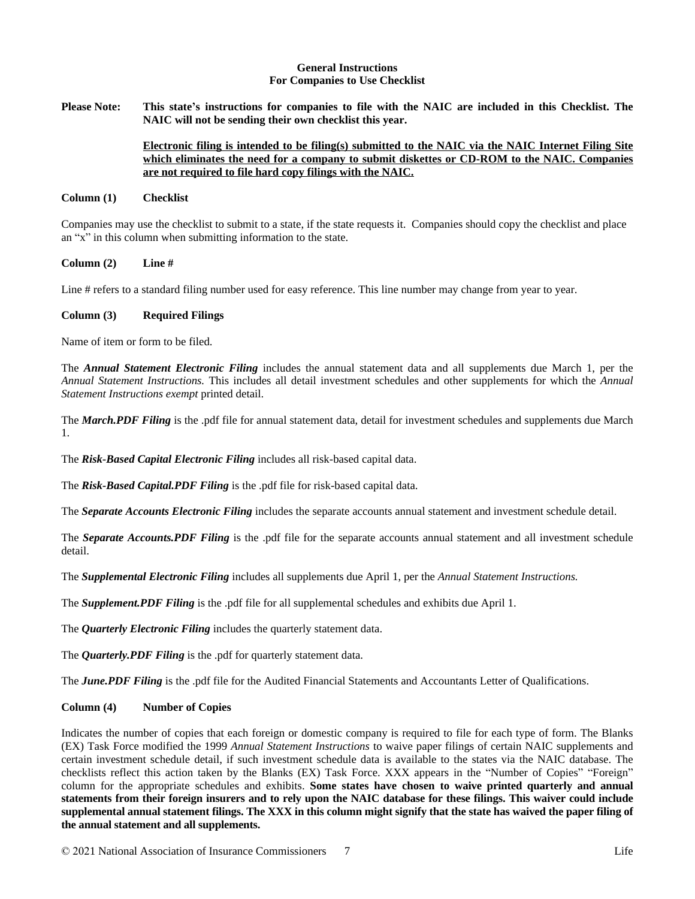#### **General Instructions For Companies to Use Checklist**

Please Note: This state's instructions for companies to file with the NAIC are included in this Checklist. The **NAIC will not be sending their own checklist this year.**

## **Electronic filing is intended to be filing(s) submitted to the NAIC via the NAIC Internet Filing Site which eliminates the need for a company to submit diskettes or CD-ROM to the NAIC. Companies are not required to file hard copy filings with the NAIC.**

#### **Column (1) Checklist**

Companies may use the checklist to submit to a state, if the state requests it. Companies should copy the checklist and place an "x" in this column when submitting information to the state.

#### **Column (2) Line #**

Line # refers to a standard filing number used for easy reference. This line number may change from year to year.

#### **Column (3) Required Filings**

Name of item or form to be filed.

The *Annual Statement Electronic Filing* includes the annual statement data and all supplements due March 1, per the *Annual Statement Instructions.* This includes all detail investment schedules and other supplements for which the *Annual Statement Instructions exempt* printed detail.

The *March.PDF Filing* is the .pdf file for annual statement data, detail for investment schedules and supplements due March 1.

The *Risk-Based Capital Electronic Filing* includes all risk-based capital data.

The *Risk-Based Capital.PDF Filing* is the .pdf file for risk-based capital data.

The *Separate Accounts Electronic Filing* includes the separate accounts annual statement and investment schedule detail.

The *Separate Accounts.PDF Filing* is the .pdf file for the separate accounts annual statement and all investment schedule detail.

The *Supplemental Electronic Filing* includes all supplements due April 1, per the *Annual Statement Instructions.*

The *Supplement.PDF Filing* is the .pdf file for all supplemental schedules and exhibits due April 1.

The *Quarterly Electronic Filing* includes the quarterly statement data.

The *Quarterly.PDF Filing* is the .pdf for quarterly statement data.

The *June.PDF Filing* is the .pdf file for the Audited Financial Statements and Accountants Letter of Qualifications.

## **Column (4) Number of Copies**

Indicates the number of copies that each foreign or domestic company is required to file for each type of form. The Blanks (EX) Task Force modified the 1999 *Annual Statement Instructions* to waive paper filings of certain NAIC supplements and certain investment schedule detail, if such investment schedule data is available to the states via the NAIC database. The checklists reflect this action taken by the Blanks (EX) Task Force. XXX appears in the "Number of Copies" "Foreign" column for the appropriate schedules and exhibits. **Some states have chosen to waive printed quarterly and annual** statements from their foreign insurers and to rely upon the NAIC database for these filings. This waiver could include supplemental annual statement filings. The XXX in this column might signify that the state has waived the paper filing of **the annual statement and all supplements.**